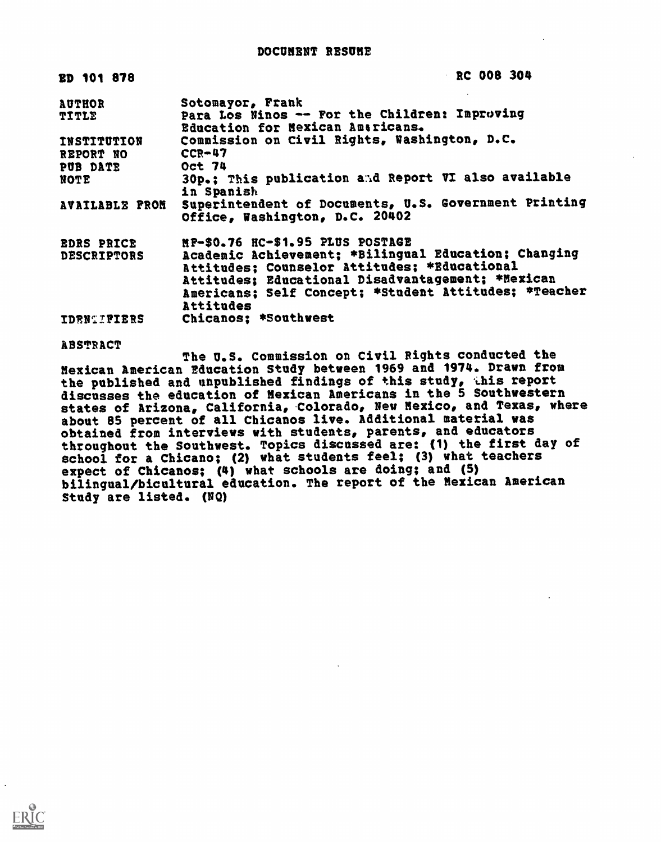| <b>ED 101 878</b>               | RC 008 304                                                                              |
|---------------------------------|-----------------------------------------------------------------------------------------|
| <b>AUTHOR</b>                   | Sotomayor, Frank                                                                        |
| TITLE                           | Para Los Ninos -- For the Children: Improving<br>Education for Nexican Americans.       |
| <b>INSTITUTION</b><br>REPORT NO | Commission on Civil Rights, Washington, D.C.<br>$CCR-47$                                |
| PUB DATE                        | <b>Oct 74</b>                                                                           |
| NOTE                            | 30p.; This publication and Report VI also available<br>in Spanish                       |
| AVAILABLE PROM                  | Superintendent of Documents, U.S. Government Printing<br>Office, Washington, D.C. 20402 |
| <b>EDRS PRICE</b>               | MP-\$0.76 HC-\$1.95 PLUS POSTAGE                                                        |
| <b>DESCRIPTORS</b>              | Academic Achievement: *Bilingual Education: Changing                                    |
|                                 | Attitudes: Counselor Attitudes: *Educational                                            |
|                                 | Attitudes; Educational Disadvantagement; *Nexican                                       |
|                                 | Americans; Self Concept; *Student Attitudes; *Teacher<br>Attitudes                      |
|                                 |                                                                                         |

IDRWITFIERS Chicanos; \*Southwest

#### ABSTRACT

The U.S. Commission on Civil Rights conducted the Mexican American Education Study between 1969 and 1974. Drawn from the published and unpublished findings of this study, this report discusses the education of Mexican Americans in the 5 Southwestern states of Arizona, California, Colorado, New Mexico, and Texas, where about 85 percent of all Chicanos live. Additional material was obtained from interviews with students, parents, and educators throughout the Southwest. Topics discussed are: (1) the first day of school for a Chicano; (2) what students feel; (3) what teachers expect of Chicanos; (4) what schools are doing; and (5) bilingual/bicultural education. The report of the Mexican American Study are listed. (NQ)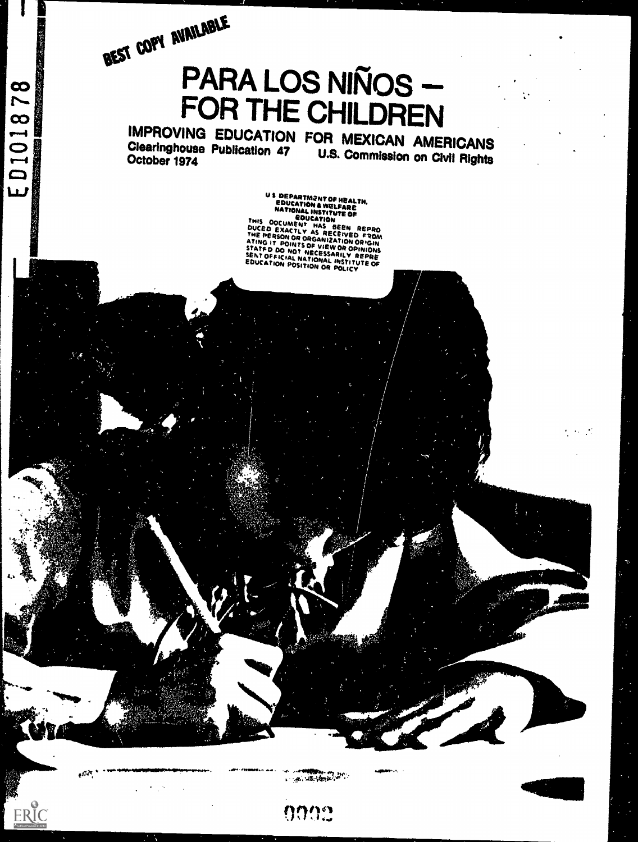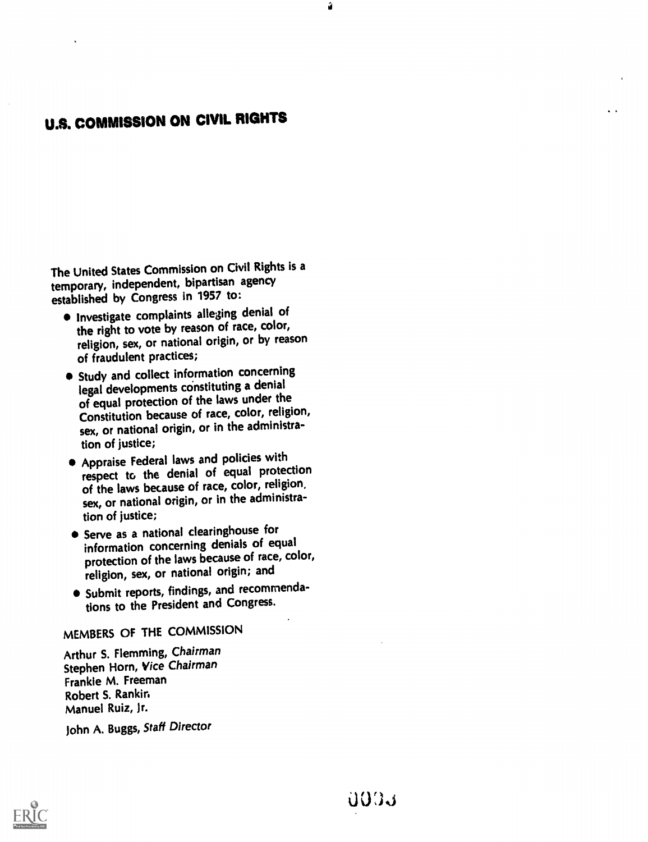#### U.S. COMMISSION ON CIVIL RIGHTS

The United States Commission on Civil Rights is a temporary, independent, bipartisan agency established by Congress in 1957 to:

- $\bullet$  investigate complaints alleging denial of the right to vote by reason of race, color, religion, sex, or national origin, or by reason of fraudulent practices;
- $\bullet$  Study and collect information concerning legal developments constituting a denial of equal protection of the laws under the Constitution because of race, color, religion, sex, or national origin, or in the administration of justice;
- Appraise Federal laws and policies with respect to the denial of equal protection of the laws because of race, color, religion, sex, or national origin, or in the administration of justice;
- Serve as a national clearinghouse for information concerning denials of equal protection of the laws because of race, color, religion, sex, or national origin; and
- Submit reports, findings, and recommendations to the President and Congress.

#### MEMBERS OF THE COMMISSION

Arthur S. Flemming, Chairman Stephen Horn, Vice Chairman Frankie M. Freeman Robert S. Rankin Manuel Ruiz, jr.

John A. Buggs, Staff Director



id in 1970.<br>Die eerste verwys

,

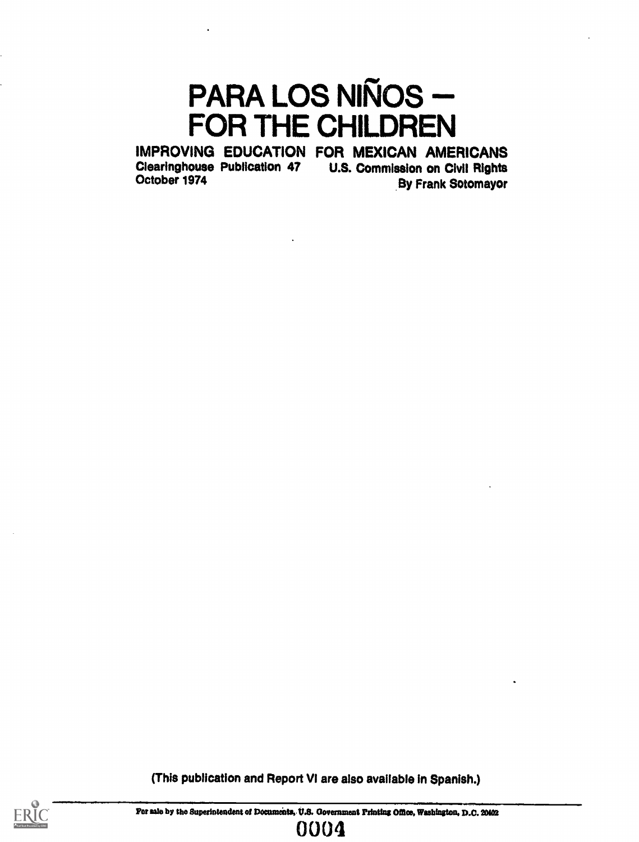# PARA LOS NIÑOS -FOR THE CHILDREN

IMPROVING EDUCATION FOR MEXICAN AMERICANS<br>Clearinghouse Publication 47 U.S. Commission on Civil Rights Clearinghouse Publication 47 U.S. Commission on Civil Rights<br>October 1974 By Frank Science **By Frank Sotomayor** 

(This publication and Report VI are also available in Spanish.)



Per sale by the Superintendent of Documents, U.S. Government Printing Office, Washington, D.C. 20402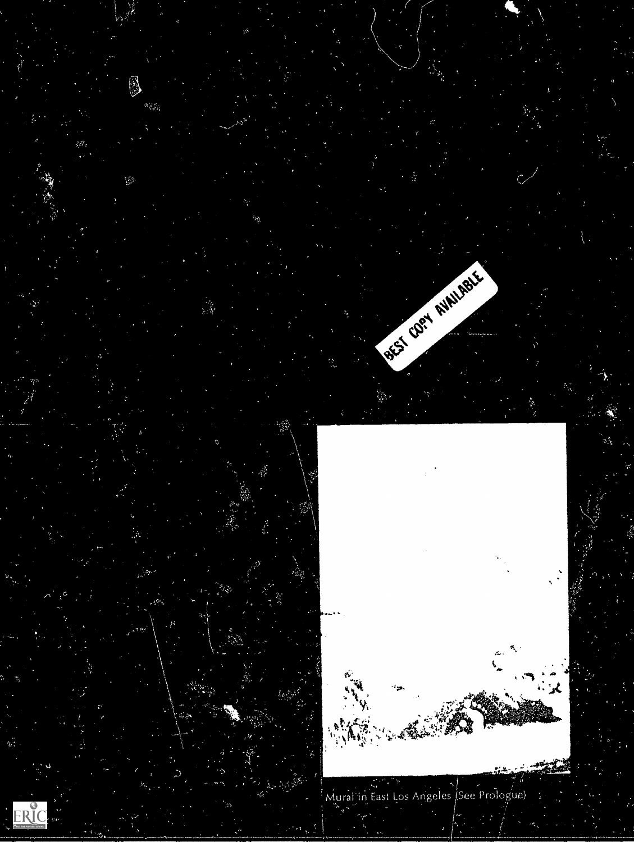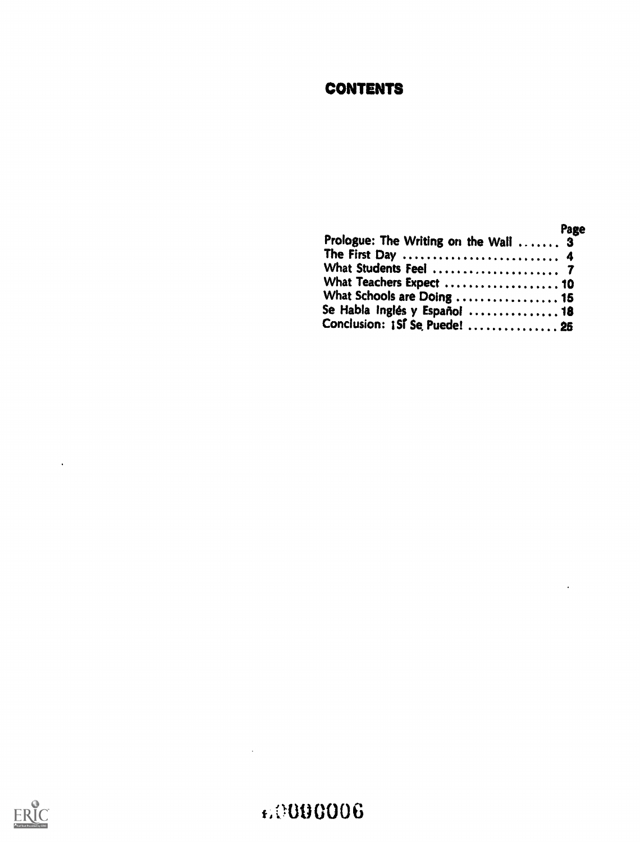#### **CONTENTS**

#### Page

 $\overline{a}$ 

|                                      |  | га |
|--------------------------------------|--|----|
| Prologue: The Writing on the Wall  3 |  |    |
| The First Day  4                     |  |    |
|                                      |  |    |
| What Teachers Expect  10             |  |    |
| What Schools are Doing  15           |  |    |
| Se Habla Inglés y Español  18        |  |    |
| Conclusion: 1Sf Se Puede!  25        |  |    |
|                                      |  |    |



 $\mathcal{L}(\mathbf{r})$  and  $\mathcal{L}(\mathbf{r})$ 

 $\sim 10^{-11}$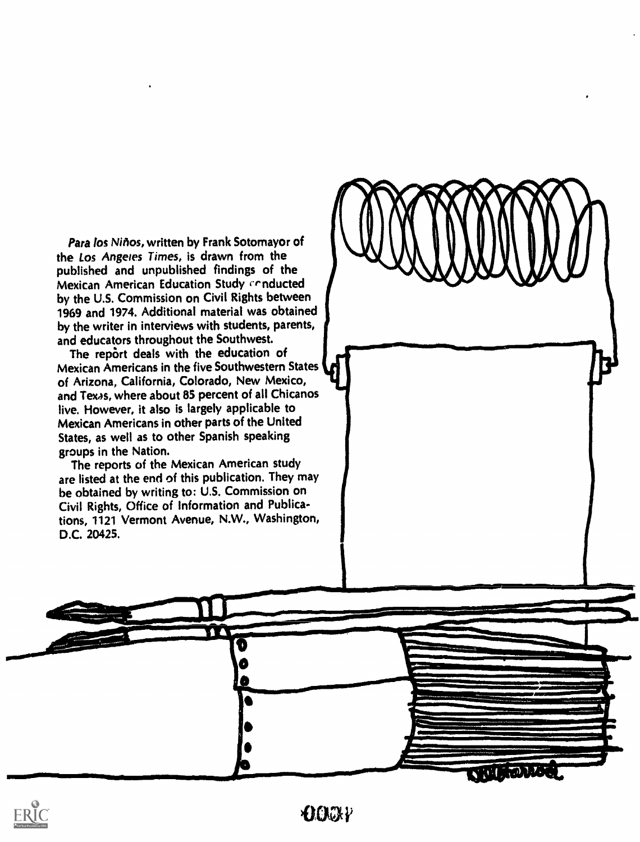Para los Niños, written by Frank Sotomayor of the Los Angeles Times, is drawn from the published and unpublished findings of the Mexican American Education Study conducted by the U.S. Commission on Civil Rights between 1969 and 1974. Additional material was obtained by the writer in interviews with students, parents, and educators throughout the Southwest.

The report deals with the education of Mexican Americans in the five Southwestern States of Arizona, California, Colorado, New Mexico, and Texas, where about 85 percent of all Chicanos live. However, it also is largely applicable to Mexican Americans in other parts of the United States, as well as to other Spanish speaking groups in the Nation.

The reports of the Mexican American study are listed at the end of this publication. They may be obtained by writing to: U.S. Commission on Civil Rights, Office of Information and Publications, 1121 Vermont Avenue, N.W., Washington, D.C. 20425.





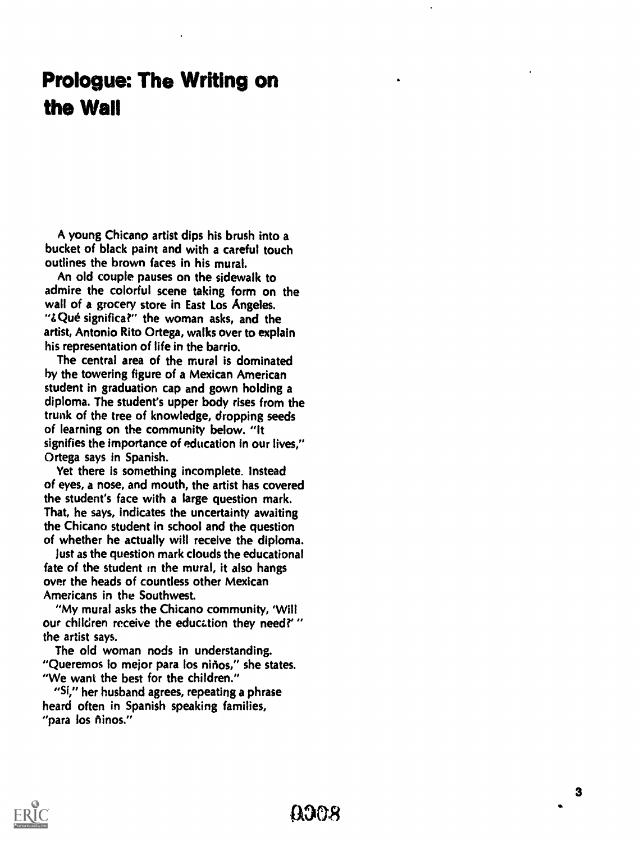### Prologue: The Writing on the Wall

A young Chicano artist dips his brush into a bucket of black paint and with a careful touch outlines the brown faces in his mural.

An old couple pauses on the sidewalk to admire the colorful scene taking form on the wall of a grocery store in East Los Angeles. " $\lambda$  Qué significa?" the woman asks, and the artist, Antonio Rito Ortega, walks over to explain his representation of life in the barrio.

The central area of the mural is dominated by the towering figure of a Mexican American student in graduation cap and gown holding a diploma. The student's upper body rises from the trunk of the tree of knowledge, dropping seeds of learning on the community below. "It signifies the importance of education in our lives," Ortega says in Spanish.

Yet there is something incomplete. instead of eyes, a nose, and mouth, the artist has covered the student's face with a large question mark. That, he says, indicates the uncertainty awaiting the Chicano student in school and the question of whether he actually will receive the diploma.

Just as the question mark clouds the educational fate of the student in the mural, it also hangs over the heads of countless other Mexican Americans in the Southwest.

"My mural asks the Chicano community, 'Will our children receive the education they need?' " the artist says.

The old woman nods in understanding. "Queremos lo mejor para los niños," she states. "We want the best for the children."

"Si,' her husband agrees, repeating a phrase heard often in Spanish speaking families, "para los ñinos."

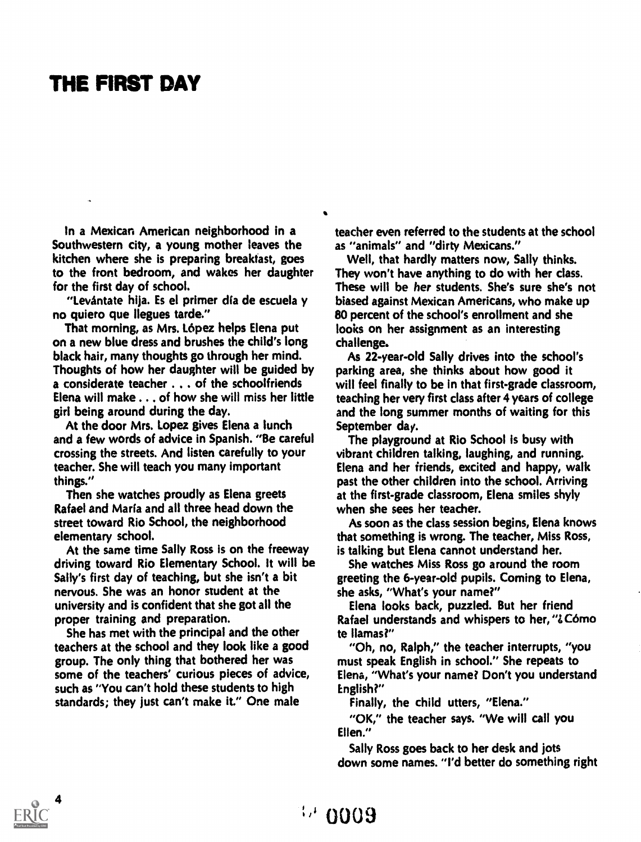### THE FIRST DAY

In a Mexican American neighborhood in a Southwestern city, a young mother leaves the kitchen where she is preparing breakfast, goes to the front bedroom, and wakes her daughter for the first day of school.

"Levántate hija. Es el primer día de escuela y no quiero que Ilegues tarde."

That morning, as Mrs. López helps Elena put on a new blue dress and brushes the child's long black hair, many thoughts go through her mind. Thoughts of how her daughter will be guided by a considerate teacher . . . of the schoolfriends Elena will make . . . of how she will miss her little girl being around during the day.

At the door Mrs. Lopez gives Elena a lunch and a few words of advice in Spanish. "Be careful crossing the streets. And listen carefully to your teacher. She will teach you many important things."

Then she watches proudly as Elena greets Rafael and Maria and all three head down the street toward Rio School, the neighborhood elementary school.

At the same time Sally Ross is on the freeway driving toward Rio Elementary School. It will be Sally's first day of teaching, but she isn't a bit nervous. She was an honor student at the university and is confident that she got all the proper training and preparation.

She has met with the principal and the other teachers at the school and they look like a good group. The only thing that bothered her was some of the teachers' curious pieces of advice, such as "You can't hold these students to high standards; they just can't make it." One male

teacher even referred to the students at the school as "animals" and "dirty Mexicans."

Well, that hardly matters now, Sally thinks. They won't have anything to do with her class. These will be her students. She's sure she's not biased against Mexican Americans, who make up 80 percent of the school's enrollment and she looks on her assignment as an interesting challenge.

As 22-year-old Sally drives into the school's parking area, she thinks about how good it will feel finally to be in that first-grade classroom, teaching her very first class after 4 years of college and the long summer months of waiting for this September day.

The playground at Rio School is busy with vibrant children talking, laughing, and running. Elena and her friends, excited and happy, walk past the other children into the school. Arriving at the first-grade classroom, Elena smiles shyly when she sees her teacher.

As soon as the class session begins, Elena knows that something is wrong. The teacher, Miss Ross, is talking but Elena cannot understand her.

She watches Miss Ross go around the room greeting the 6-year-old pupils. Coming to Elena, she asks, "What's your name?"

Elena looks back, puzzled. But her friend Rafael understands and whispers to her, "t Como te llamas?"

"Oh, no, Ralph," the teacher interrupts, "you must speak English in school." She repeats to Elena, "What's your name? Don't you understand English?"

Finally, the child utters, "Elena."

"OK," the teacher says. "We will call you Ellen."

Sally Ross goes back to her desk and jots down some names. "I'd better do something right

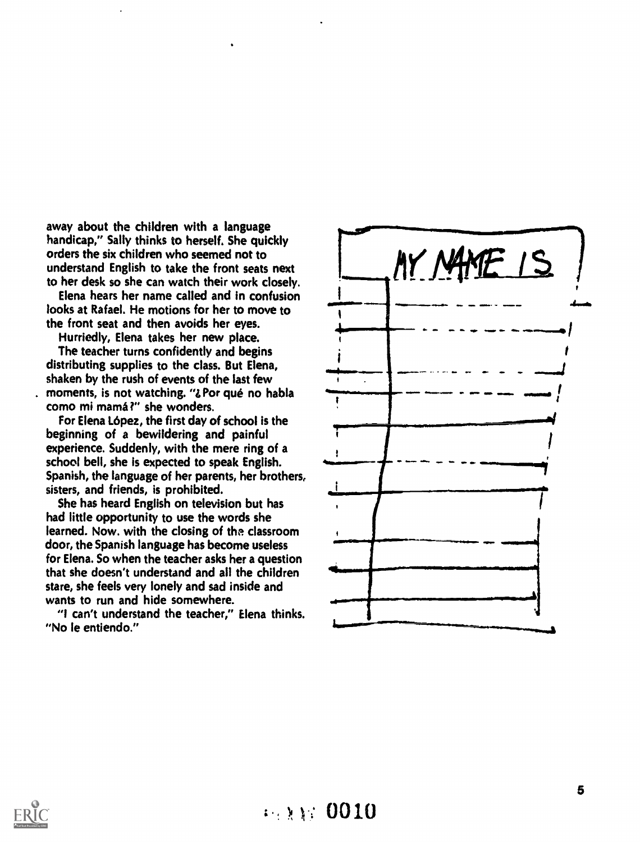away about the children with a language handicap," Sally thinks to herself. She quickly orders the six children who seemed not to understand English to take the front seats next to her desk so she can watch their work closely.

Elena hears her name called and in confusion looks at Rafael. He motions for her to move to the front seat and then avoids her eyes.

Hurriedly, Elena takes her new place.

The teacher turns confidently and begins distributing supplies to the class. But Elena, shaken by the rush of events of the last few moments, is not watching. "¿Por qué no habla como mi mama ?" she wonders.

For Elena López, the first day of school is the beginning of a bewildering and painful experience. Suddenly, with the mere ring of a school bell, she is expected to speak English. Spanish, the language of her parents, her brothers, sisters, and friends, is prohibited.

She has heard English on television but has had little opportunity to use the words she learned. Now. with the closing of the classroom door, the Spanish language has become useless for Elena. So when the teacher asks her a question that she doesn't understand and all the children stare, she feels very lonely and sad inside and wants to run and hide somewhere.

"I can't understand the teacher," Elena thinks. "No le entiendo."





### **DO10**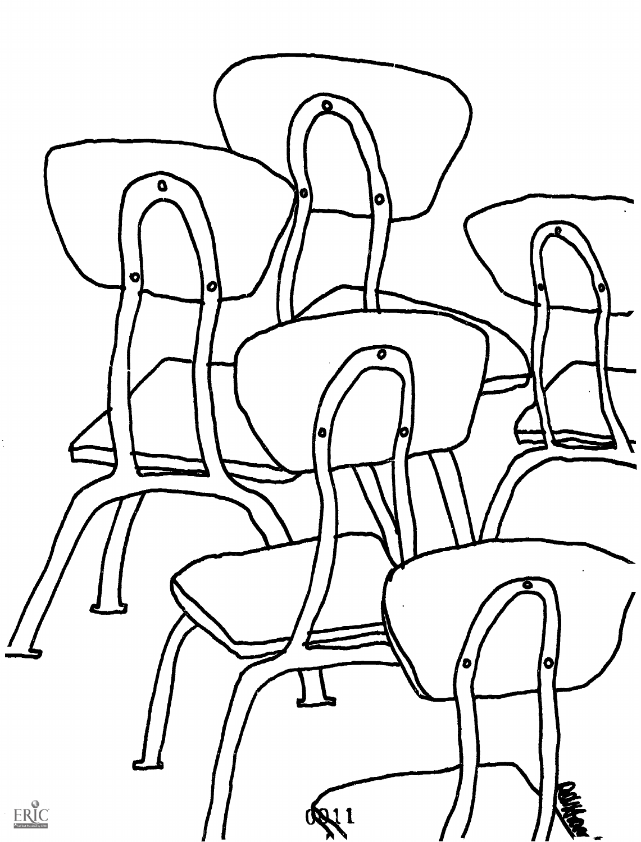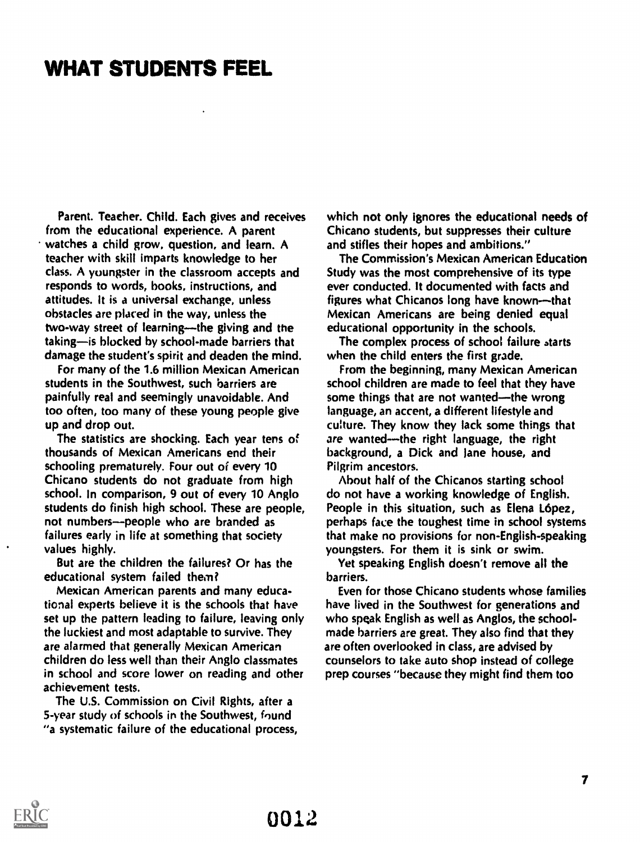#### WHAT STUDENTS FEEL

Parent. Teacher. Child. Each gives and receives from the educational experience. A parent watches a child grow, question, and learn. A teacher with skill imparts knowledge to her class. A youngster in the classroom accepts and responds to words, books, instructions, and attitudes. it is a universal exchange, unless obstacles are placed in the way, unless the two-way street of learning---the giving and the taking-is blocked by school-made barriers that damage the student's spirit and deaden the mind.

For many of the 1.6 million Mexican American students in the Southwest, such barriers are painfully real and seemingly unavoidable. And too often, too many of these young people give up and drop out.

The statistics are shocking. Each year tens of thousands of Mexican Americans end their schooling prematurely. Four out of every 10 Chicano students do not graduate from high school. In comparison, 9 out of every 10 Anglo students do finish high school. These are people, not numbers--people who are branded as failures early in life at something that society values highly.

But are the children the failures? Or has the educational system failed them?

Mexican American parents and many educational experts believe it is the schools that have set up the pattern leading to failure, leaving only the luckiest and most adaptable to survive. They are alarmed that generally Mexican American children do less well than their Anglo classmates in school and score lower on reading and other achievement tests.

The U.S. Commission on Civil Rights, after a 5-year study of schools in the Southwest, found "a systematic failure of the educational process, which not only ignores the educational needs of Chicano students, but suppresses their culture and stifles their hopes and ambitions."

The Commission's Mexican American Education Study was the most comprehensive of its type ever conducted. It documented with facts and figures what Chicanos long have known- $-that$ Mexican Americans are being denied equal educational opportunity in the schools.

The complex process of school failure starts when the child enters the first grade.

From the beginning, many Mexican American school children are made to feel that they have some things that are not wanted-the wrong language, an accent, a different lifestyle and culture. They know they lack some things that are wanted-the right language, the right background, a Dick and lane house, and Pilgrim ancestors.

About half of the Chicanos starting school do not have a working knowledge of English. People in this situation, such as Elena López, perhaps face the toughest time in school systems that make no provisions for non-English-speaking youngsters. For them it is sink or swim.

Yet speaking English doesn't remove all the barriers.

Even for those Chicano students whose families have lived in the Southwest for generations and who speak English as well as Anglos, the schoolmade barriers are great. They also find that they are often overlooked in class, are advised by counselors to take auto shop instead of college prep courses "because they might find them too

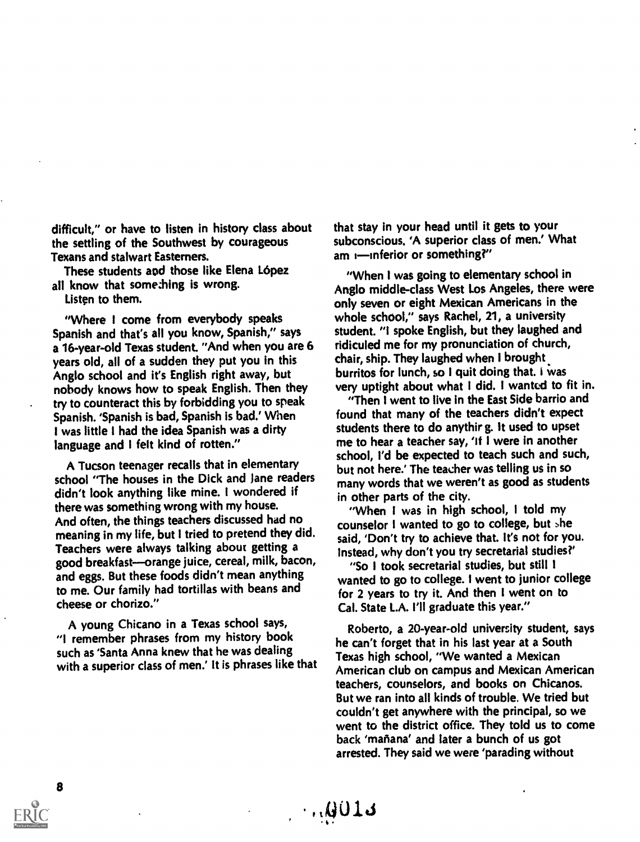difficult," or have to listen in history class about the settling of the Southwest by courageous Texans and stalwart Easterners.

These students aod those like Elena Lopez all know that something is wrong.

Listen to them.

"Where I come from everybody speaks Spanish and that's all you know, Spanish," says a 16-year-old Texas student. "And when you are 6 years old, all of a sudden they put you in this Anglo school and it's English right away, but nobody knows how to speak English. Then they try to counteract this by forbidding you to speak Spanish. 'Spanish is bad, Spanish is bad.' When I was little I had the idea Spanish was a dirty language and I felt kind of rotten."

A Tucson teenager recalls that in elementary school "The houses in the Dick and Jane readers didn't look anything like mine. I wondered if there was something wrong with my house. And often, the things teachers discussed had no meaning in my life, but I tried to pretend they did. Teachers were always talking about getting a good breakfast-orange juice, cereal, milk, bacon, and eggs. But these foods didn't mean anything to me. Our family had tortillas with beans and cheese or chorizo."

A young Chicano in a Texas school says, "I remember phrases from my history book such as 'Santa Anna knew that he was dealing with a superior class of men.' It is phrases like that that stay in your head until it gets to your subconscious. 'A superior class of men.' What  $am$   $\longleftarrow$  inferior or something?"

"When I was going to elementary school in Anglo middle-class West Los Angeles, there were only seven or eight Mexican Americans in the whole school," says Rachel, 21, a university student. "I spoke English, but they laughed and ridiculed me for my pronunciation of church, chair, ship. They laughed when I brought, burritos for lunch, so I quit doing that. i was very uptight about what I did. I wanted to fit in.

"Then I went to live in the East Side barrio and found that many of the teachers didn't expect students there to do anythir g. It used to upset me to hear a teacher say, 'if I were in another school, I'd be expected to teach such and such, but not here.' The teacher was telling us in so many words that we weren't as good as students in other parts of the city.

"When I was in high school, I told my counselor I wanted to go to college, but she said, 'Don't try to achieve that. It's not for you. Instead, why don't you try secretarial studies?'

"So I took secretarial studies, but still I wanted to go to college. I went to junior college for 2 years to try it. And then I went on to Cal. State L.A. I'll graduate this year."

Roberto, a 20-year-old university student, says he can't forget that in his last year at a South Texas high school, "We wanted a Mexican American club on campus and Mexican American teachers, counselors, and books on Chicanos. But we ran into all kinds of trouble. We tried but couldn't get anywhere with the principal, so we went to the district office. They told us to come back 'mañana' and later a bunch of us got arrested. They said we were 'parading without

 $013$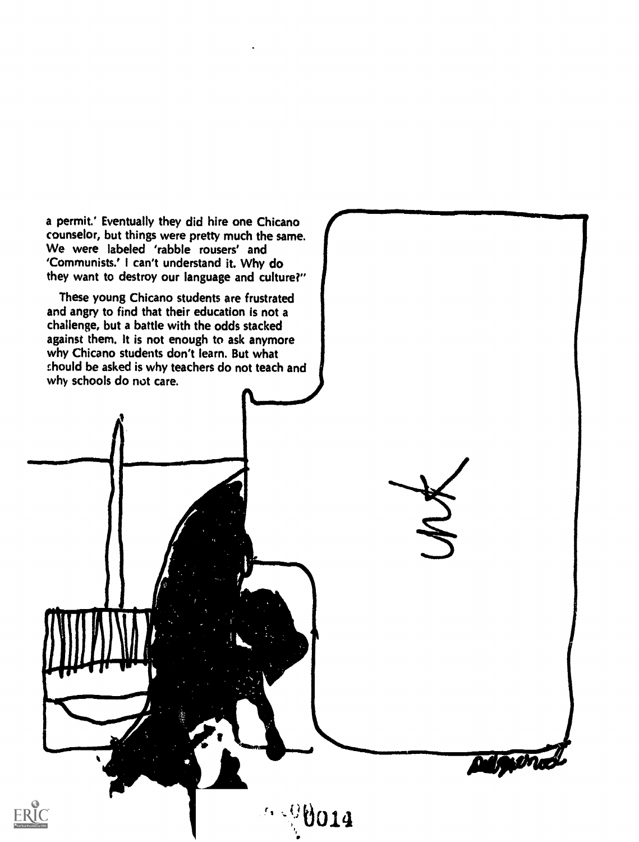a permit.' Eventually they did hire one Chicano counselor, but things were pretty much the same. We were labeled 'rabble rousers' and 'Communists.' I can't understand it. Why do they want to destroy our language and culture?"

These young Chicano students are frustrated and angry to find that their education is not a challenge, but a battle with the odds stacked against them. It is not enough to ask anymore why Chicano students don't learn. But what should be asked is why teachers do not teach and why schools do not care.



adopthic

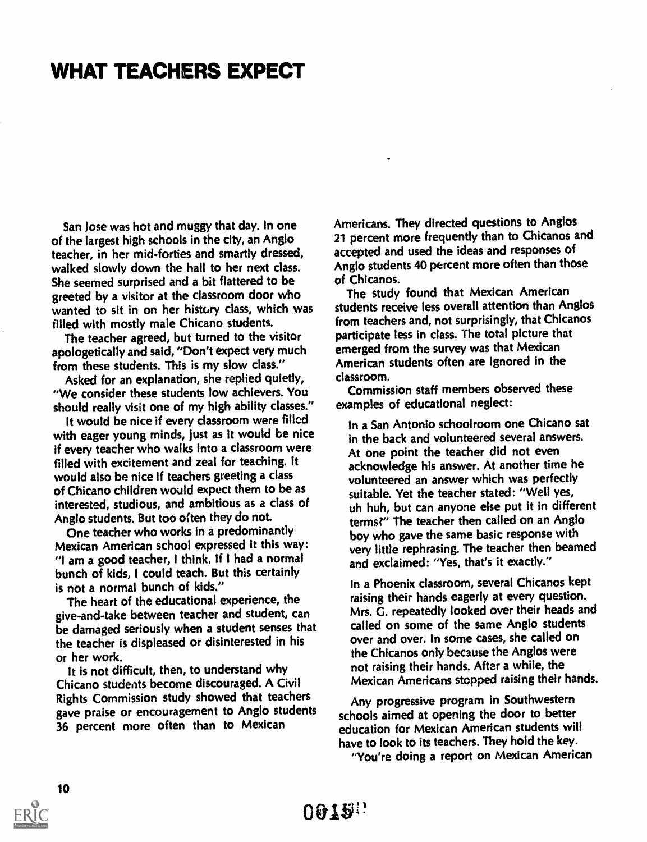#### WHAT TEACHERS EXPECT

San lose was hot and muggy that day. In one of the largest high schools in the city, an Anglo teacher, in her mid-forties and smartly dressed, walked slowly down the hall to her next class. She seemed surprised and a bit flattered to be greeted by a visitor at the classroom door who wanted to sit in on her history class, which was filled with mostly male Chicano students.

The teacher agreed, but turned to the visitor apologetically and said, "Don't expect very much from these students. This is my slow class."

Asked for an explanation, she replied quietly, "We consider these students low achievers. You should really visit one of my high ability classes."

It would be nice if every classroom were filled with eager young minds, just as it would be nice if every teacher who walks into a classroom were filled with excitement and zeal for teaching. It would also be nice if teachers greeting a class of Chicano children would expect them to be as interested, studious, and ambitious as a class of Anglo students. But too often they do not.

One teacher who works in a predominantly Mexican American school expressed it this way: "I am a good teacher, I think. If I had a normal bunch of kids, I could teach. But this certainly is not a normal bunch of kids."

The heart of the educational experience, the give-and-take between teacher and student, can be damaged seriously when a student senses that the teacher is displeased or disinterested in his or her work.

it is not difficult, then, to understand why Chicano students become discouraged. A Civil Rights Commission study showed that teachers gave praise or encouragement to Anglo students 36 percent more often than to Mexican

Americans. They directed questions to Anglos 21 percent more frequently than to Chicanos and accepted and used the ideas and responses of Anglo students 40 percent more often than those of Chicanos.

The study found that Mexican American students receive less overall attention than Anglos from teachers and, not surprisingly, that Chicanos participate less in class. The total picture that emerged from the survey was that Mexican American students often are ignored in the classroom.

Commission staff members observed these examples of educational neglect:

In a San Antonio schoolroom one Chicano sat in the back and volunteered several answers. At one point the teacher did not even acknowledge his answer. At another time he volunteered an answer which was perfectly suitable. Yet the teacher stated: "Well yes, uh huh, but can anyone else put it in different terms?" The teacher then called on an Anglo boy who gave the same basic response with very little rephrasing. The teacher then beamed and exclaimed: "Yes, that's it exactly."

In a Phoenix classroom, several Chicanos kept raising their hands eagerly at every question. Mrs. G. repeatedly looked over their heads and called on some of the same Anglo students over and over. In some cases, she called on the Chicanos only because the Anglos were not raising their hands. After a while, the Mexican Americans stopped raising their hands.

Any progressive program in Southwestern schools aimed at opening the door to better education for Mexican American students will have to look to its teachers. They hold the key.

"You're doing a report on Mexican American

10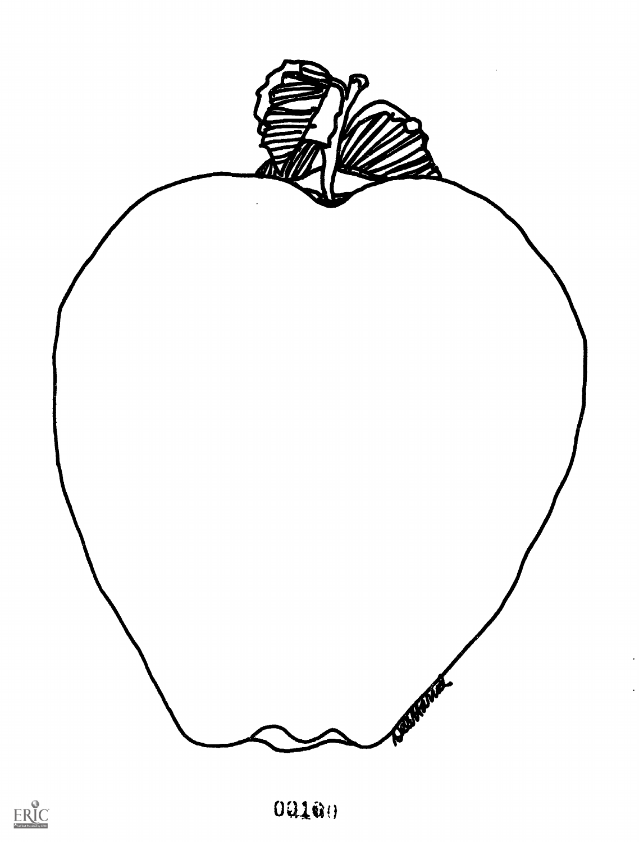

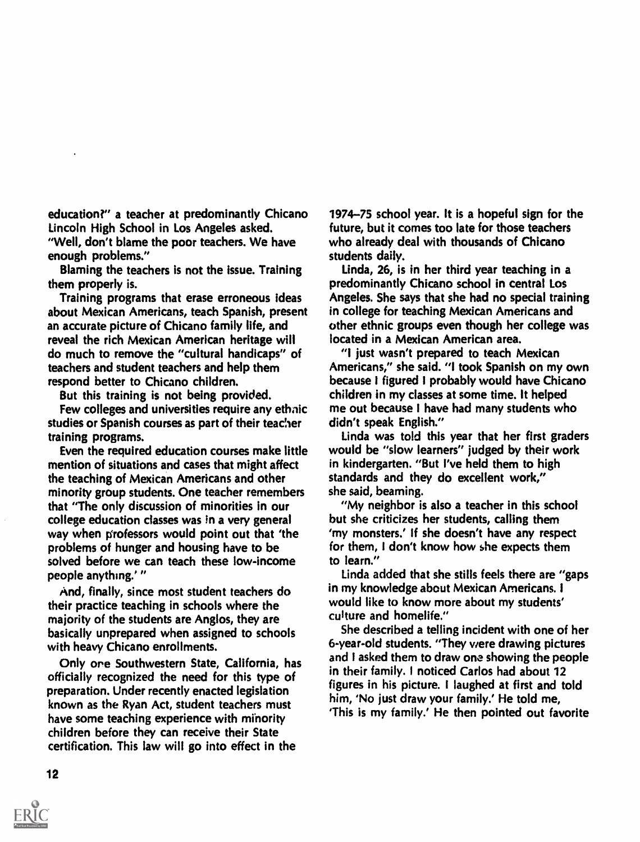education?" a teacher at predominantly Chicano Lincoln High School in Los Angeles asked. "Well, don't blame the poor teachers. We have enough problems."

Blaming the teachers is not the issue. Training them properly is.

Training programs that erase erroneous ideas about Mexican Americans, teach Spanish, present an accurate picture of Chicano family life, and reveal the rich Mexican American heritage will do much to remove the "cultural handicaps" of teachers and student teachers and help them respond better to Chicano children.

But this training is not being provided.

Few colleges and universities require any ethnic studies or Spanish courses as part of their teacher training programs.

Even the required education courses make little mention of situations and cases that might affect the teaching of Mexican Americans and other minority group students. One teacher remembers that "The only discussion of minorities in our college education classes was in a very general way when professors would point out that 'the problems of hunger and housing have to be solved before we can teach these low-income people anything.' "

And, finally, since most student teachers do their practice teaching in schools where the majority of the students are Anglos, they are basically unprepared when assigned to schools with heavy Chicano enrollments.

Only ore Southwestern State, California, has officially recognized the need for this type of preparation. Under recently enacted legislation known as the Ryan Act, student teachers must have some teaching experience with minority children before they can receive their State certification. This law will go into effect in the

1974-75 school year. It is a hopeful sign for the future, but it comes too late for those teachers who already deal with thousands of Chicano students daily.

Linda, 26, is in her third year teaching in a predominantly Chicano school in central Los Angeles. She says that she had no special training in college for teaching Mexican Americans and other ethnic groups even though her college was located in a Mexican American area.

"I just wasn't prepared to teach Mexican Americans," she said. "I took Spanish on my own because I figured I probably would have Chicano children in my classes at some time. It helped me out because I have had many students who didn't speak English."

Linda was told this year that her first graders would be "slow learners" judged by their work in kindergarten. "But I've held them to high standards and they do excellent work," she said, beaming.

"My neighbor is also a teacher in this school but she criticizes her students, calling them 'my monsters.' If she doesn't have any respect for them, I don't know how she expects them to learn."

Linda added that she stills feels there are "gaps in my knowledge about Mexican Americans. I would like to know more about my students' culture and homelife."

She described a telling incident with one of her 6-year-old students. "They were drawing pictures and I asked them to draw one showing the people in their family. I noticed Carlos had about 12 figures in his picture. I laughed at first and told him, 'No just draw your family.' He told me, 'This is my family.' He then pointed out favorite

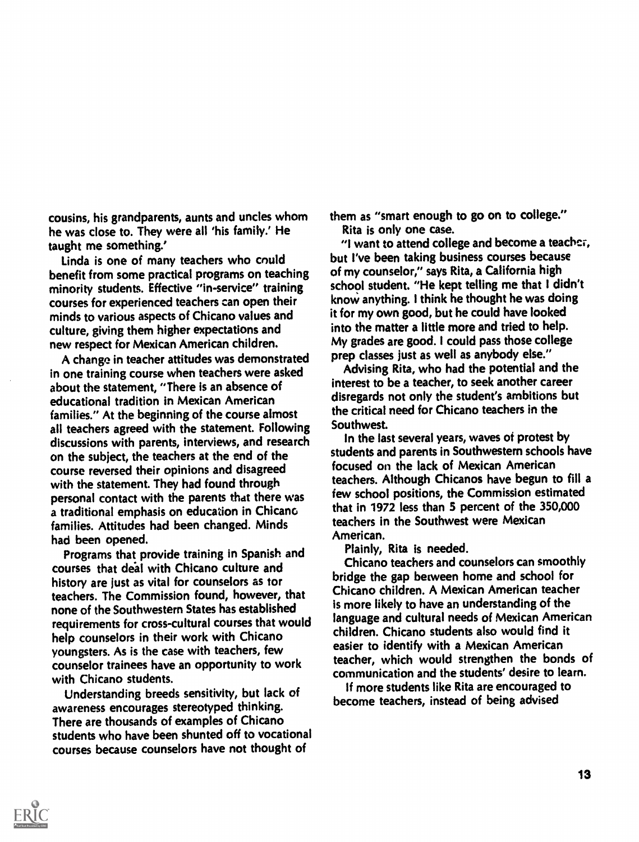cousins, his grandparents, aunts and uncles whom he was close to. They were all 'his family.' He taught me something.'

Linda is one of many teachers who cnuld benefit from some practical programs on teaching minority students. Effective "in-service" training courses for experienced teachers can open their minds to various aspects of Chicano values and culture, giving them higher expectations and new respect for Mexican American children.

A change in teacher attitudes was demonstrated in one training course when teachers were asked about the statement, "There is an absence of educational tradition in Mexican American families." At the beginning of the course almost all teachers agreed with the statement. Following discussions with parents, interviews, and research on the subject, the teachers at the end of the course reversed their opinions and disagreed with the statement. They had found through personal contact with the parents that there was a traditional emphasis on education in Chicano families. Attitudes had been changed. Minds had been opened.

Programs that provide training in Spanish and courses that deal with Chicano culture and history are just as vital for counselors as for teachers. The Commission found, however, that none of the Southwestern States has established requirements for cross-cultural courses that would help counselors in their work with Chicano youngsters. As is the case with teachers, few counselor trainees have an opportunity to work with Chicano students.

Understanding breeds sensitivity, but lack of awareness encourages stereotyped thinking. There are thousands of examples of Chicano students who have been shunted off to vocational courses because counselors have not thought of

them as "smart enough to go on to college." Rita is only one case.

"I want to attend college and become a teacher, but I've been taking business courses because of my counselor," says Rita, a California high school student. "He kept telling me that I didn't know anything. I think he thought he was doing it for my own good, but he could have looked into the matter a little more and tried to help. My grades are good. I could pass those college prep classes just as well as anybody else."

Advising Rita, who had the potential and the interest to be a teacher, to seek another career disregards not only the student's ambitions but the critical need for Chicano teachers in the Southwest.

In the last several years, waves of protest by students and parents in Southwestern schools have focused on the lack of Mexican American teachers. Although Chicanos have begun to fill a few school positions, the Commission estimated that in 1972 less than 5 percent of the 350,000 teachers in the Southwest were Mexican American.

Plainly, Rita is needed.

Chicano teachers and counselors can smoothly bridge the gap between home and school for Chicano children. A Mexican American teacher is more likely to have an understanding of the language and cultural needs of Mexican American children. Chicano students also would find it easier to identify with a Mexican American teacher, which would strengthen the bonds of communication and the students' desire to learn.

If more students like Rita are encouraged to become teachers, instead of being advised

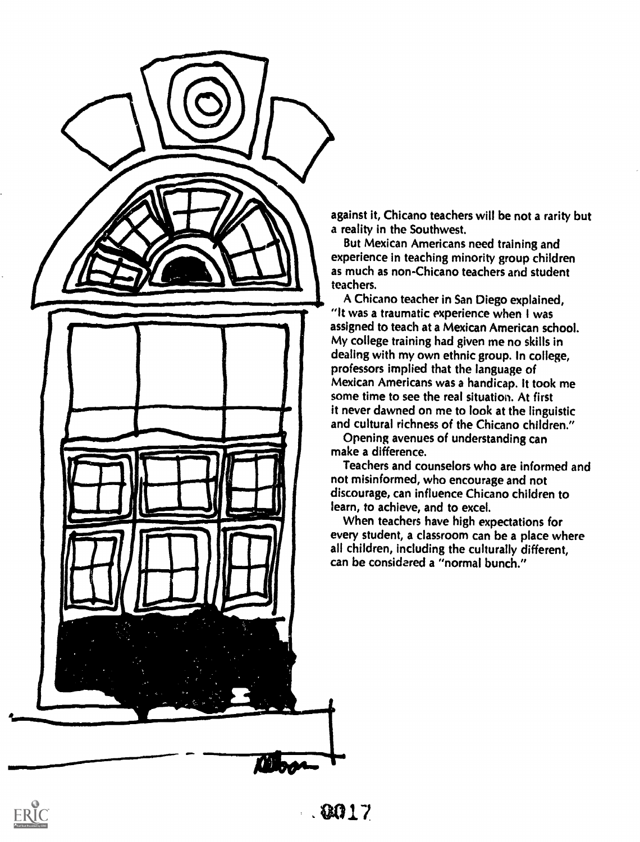

against it, Chicano teachers will be not a rarity but a reality in the Southwest.

But Mexican Americans need training and experience in teaching minority group children as much as non-Chicano teachers and student teachers.

A Chicano teacher in San Diego explained, "It was a traumatic experience when I was assigned to teach at a Mexican American school. My college training had given me no skills in dealing with my own ethnic group. In college, professors implied that the language of Mexican Americans was a handicap. It took me some time to see the real situation. At first it never dawned on me to look at the linguistic and cultural richness of the Chicano children."

Opening avenues of understanding can make a difference.

Teachers and counselors who are informed and not misinformed, who encourage and not discourage, can influence Chicano children to learn, to achieve, and to excel.

When teachers have high expectations for every student, a classroom can be a place where all children, including the culturally different, can be considered a "normal bunch."

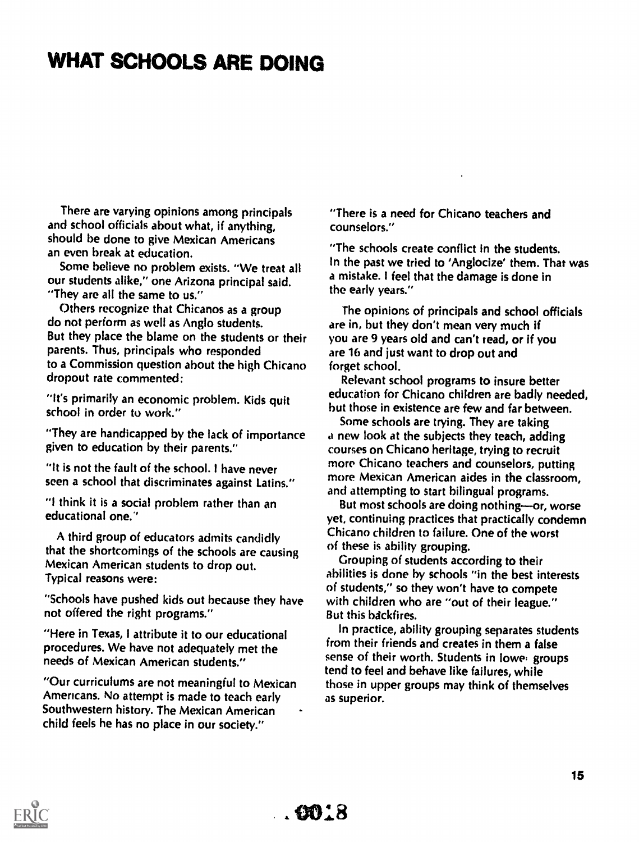# WHAT SCHOOLS ARE DOING

There are varying opinions among principals and school officials about what, if anything, should be done to give Mexican Americans an even break at education.

Some believe no problem exists. "We treat all our students alike," one Arizona principal said. "They are all the same to us."

Others recognize that Chicanos as a group do not perform as well as Anglo students. But they place the blame on the students or their parents. Thus, principals who responded to a Commission question about the high Chicano dropout rate commented:

"It's primarily an economic problem. Kids quit school in order to work."

"They are handicapped by the lack of importance given to education by their parents."

"It is not the fault of the school. i have never seen a school that discriminates against Latins."

"I think it is a social problem rather than an educational one."

A third group of educators admits candidly that the shortcomings of the schools are causing Mexican American students to drop out. Typical reasons were:

"Schools have pushed kids out because they have not offered the right programs."

"Here in Texas, I attribute it to our educational procedures. We have not adequately met the needs of Mexican American students."

"Our curriculums are not meaningful to Mexican Americans. No attempt is made to teach early Southwestern history. The Mexican American child feels he has no place in our society."

"There is a need for Chicano teachers and counselors."

"The schools create conflict in the students. In the past we tried to 'Anglocize' them. That was a mistake. I feet that the damage is done in the early years."

The opinions of principals and school officials are in, but they don't mean very much if you are 9 years old and can't read, or if you are 16 and just want to drop out and forget school.

Relevant school programs to insure better education for Chicano children are badly needed, but those in existence are few and far between.

Some schools are trying. They are taking a new look at the subjects they teach, adding courses on Chicano heritage, trying to recruit more Chicano teachers and counselors, putting more Mexican American aides in the classroom, and attempting to start bilingual programs.

But most schools are doing nothing-or, worse yet, continuing practices that practically condemn Chicano children to failure. One of the worst of these is ability grouping.

Grouping of students according to their abilities is done by schools "in the best interests of students," so they won't have to compete with children who are "out of their league." But this backfires.

In practice, ability grouping separates students from their friends and creates in them a false sense of their worth. Students in lowe: groups tend to feel and behave like failures, while those in upper groups may think of themselves as superior.

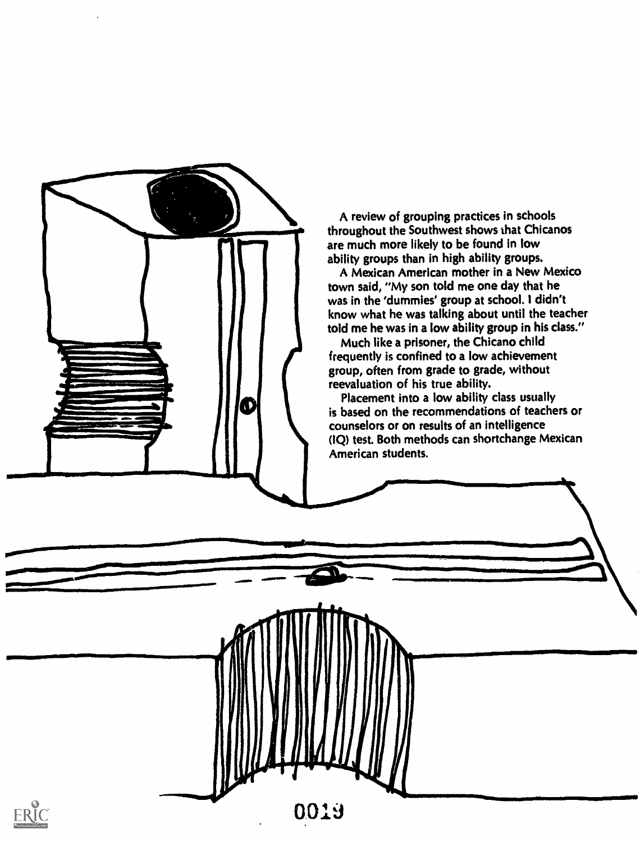

A review of grouping practices in schools throughout the Southwest shows that Chicanos are much more likely to be found in low ability groups than in high ability groups.

A Mexican American mother in a New Mexico town said, "My son told me one day that he was in the 'dummies' group at school. I didn't know what he was talking about until the teacher told me he was in a low ability group in his class."

Much like a prisoner, the Chicano child frequently is confined to a low achievement group, often from grade to grade, without reevaluation of his true ability.

Placement into a low ability class usually is based on the recommendations of teachers or counselors or on results of an intelligence (IQ) test. Both methods can shortchange Mexican American students.

IIMOMMEMIO



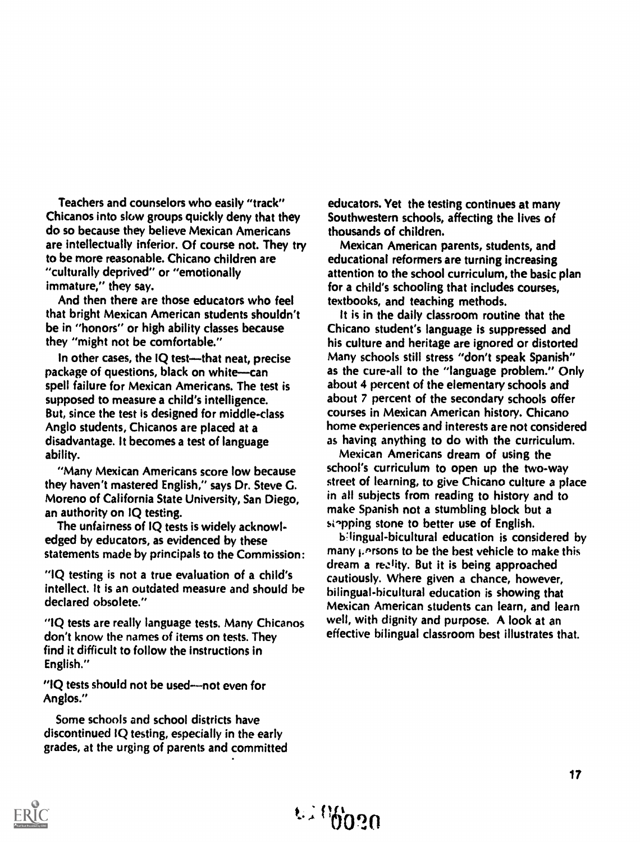Teachers and counselors who easily "track" Chicanos into slow groups quickly deny that they do so because they believe Mexican Americans are intellectually inferior. Of course not. They try to be more reasonable. Chicano children are "culturally deprived" or "emotionally immature," they say.

And then there are those educators who feel that bright Mexican American students shouldn't be in "honors" or high ability classes because they "might not be comfortable."

In other cases, the IQ test--that neat, precise package of questions, black on white-can spell failure for Mexican Americans. The test is supposed to measure a child's intelligence. But, since the test is designed for middle-class Anglo students, Chicanos are placed at a disadvantage. It becomes a test of language ability.

"Many Mexican Americans score low because they haven't mastered English," says Dr. Steve G. Moreno of California State University, San Diego, an authority on IQ testing.

The unfairness of IQ tests is widely acknowledged by educators, as evidenced by these statements made by principals to the Commission:

"IQ testing is not a true evaluation of a child's intellect. It is an outdated measure and should be declared obsolete."

"IQ tests are really language tests. Many Chicanos don't know the names of items on tests. They find it difficult to follow the instructions in English."

 $''$ IQ tests should not be used—not even for Anglos."

Some schools and school districts have discontinued IQ testing, especially in the early grades, at the urging of parents and committed educators. Yet the testing continues at many Southwestern schools, affecting the lives of thousands of children.

Mexican American parents, students, and educational reformers are turning increasing attention to the school curriculum, the basic plan for a child's schooling that includes courses, textbooks, and teaching methods.

It is in the daily classroom routine that the Chicano student's language is suppressed and his culture and heritage are ignored or distorted Many schools still stress "don't speak Spanish" as the cure-all to the "language problem." Only about 4 percent of the elementary schools and about 7 percent of the secondary schools offer courses in Mexican American history. Chicano home experiences and interests are not considered as having anything to do with the curriculum.

Mexican Americans dream of using the school's curriculum to open up the two-way street of learning, to give Chicano culture a place in all subjects from reading to history and to make Spanish not a stumbling block but a sippping stone to better use of English.

bilingual- bicultural education is considered by many  $\mu$ -prsons to be the best vehicle to make this dream a reclity. But it is being approached cautiously. Where given a chance, however, bilingual-bicultural education is showing that Mexican American students can learn, and learn well, with dignity and purpose. A look at an effective bilingual classroom best illustrates that.

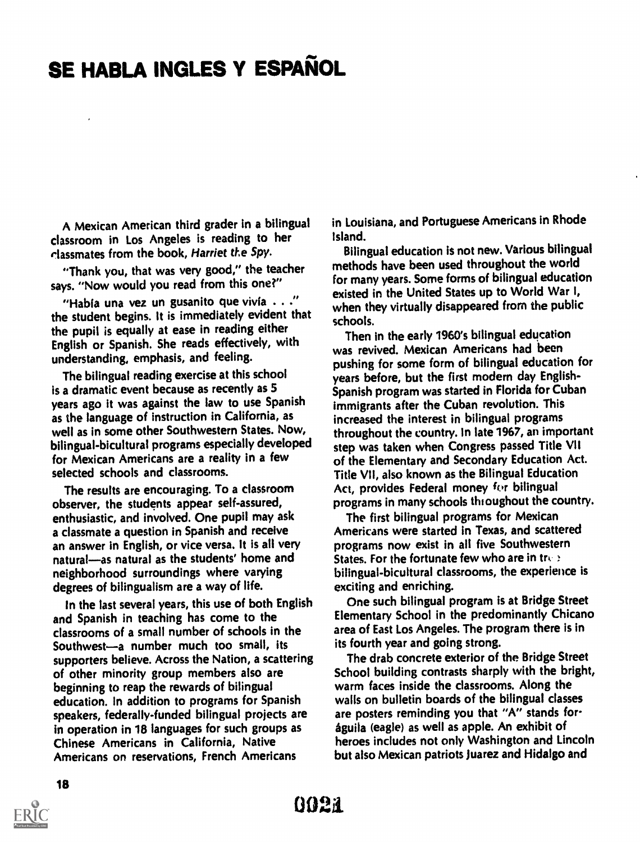# SE HABLA INGLES Y ESPAÑOL

A Mexican American third grader In a bilingual classroom in Los Angeles is reading to her classmates from the book, Harriet the Spy.

 $\hat{z}$ 

"Thank you, that was very good," the teacher says. "Now would you read from this one?"

"Habfa una vez un gusanito que vivia . . ." the student begins. It is immediately evident that the pupil is equally at ease in reading either English or Spanish. She reads effectively, with understanding, emphasis, and feeling.

The bilingual reading exercise at this school is a dramatic event because as recently as 5 years ago it was against the law to use Spanish as the language of instruction in California, as well as in some other Southwestern States. Now, bilingual-bicultural programs especially developed for Mexican Americans are a reality in a few selected schools and classrooms.

The results are encouraging. To a classroom observer, the students appear self-assured, enthusiastic, and involved. One pupil may ask a classmate a question in Spanish and receive an answer in English, or vice versa. It is all very natural-as natural as the students' home and neighborhood surroundings where varying degrees of bilingualism are a way of life.

in the last several years, this use of both English and Spanish in teaching has come to the classrooms of a small number of schools in the Southwest-a number much too small, its supporters believe. Across the Nation, a scattering of other minority group members also are beginning to reap the rewards of bilingual education. In addition to programs for Spanish speakers, federally-funded bilingual projects are in operation in 18 languages for such groups as Chinese Americans in California, Native Americans on reservations, French Americans

in Louisiana, and Portuguese Americans in Rhode Island.

Bilingual education is not new. Various bilingual methods have been used throughout the world for many years. Some forms of bilingual education existed in the United States up to World War I, when they virtually disappeared from the public schools.

Then in the early 1960's bilingual education was revived. Mexican Americans had been pushing for some form of bilingual education for years before, but the first modern day English-Spanish program was started in Florida for Cuban immigrants after the Cuban revolution. This increased the interest in bilingual programs throughout the country. In late 1967, an important step was taken when Congress passed Title VII of the Elementary and Secondary Education Act. Title VII, also known as the Bilingual Education Act, provides Federal money for bilingual programs in many schools throughout the country.

The first bilingual programs for Mexican Americans were started in Texas, and scattered programs now exist in all five Southwestern States. For the fortunate few who are in trees bilingual-bicultural classrooms, the experience is exciting and enriching.

One such bilingual program is at Bridge Street Elementary School in the predominantly Chicano area of East Los Angeles. The program there is in its fourth year and going strong.

The drab concrete exterior of the Bridge Street School building contrasts sharply with the bright, warm faces inside the classrooms. Along the walls on bulletin boards of the bilingual classes are posters reminding you that "A" stands foráguila (eagle) as well as apple. An exhibit of heroes includes not only Washington and Lincoln but also Mexican patriots Juarez and Hidalgo and

18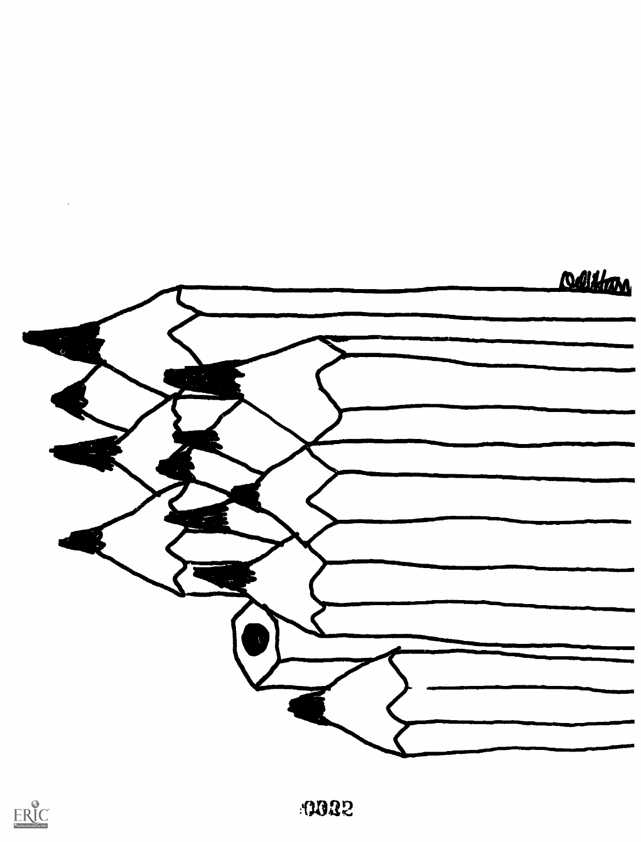



:04322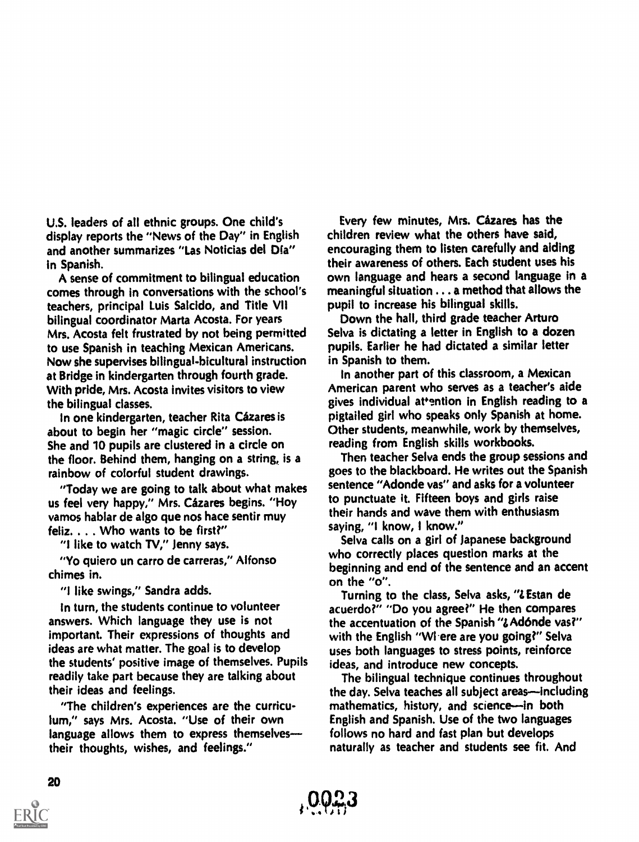U.S. leaders of all ethnic groups. One child's display reports the "News of the Day" in English and another summarizes "Las Noticias del Dia" in Spanish.

A sense of commitment to bilingual education comes through in conversations with the school's teachers, principal Luis Salcido, and Title VII bilingual coordinator Marta Acosta. For years Mrs. Acosta felt frustrated by not being permitted to use Spanish in teaching Mexican Americans. Now she supervises bilingual-bicultural instruction at Bridge in kindergarten through fourth grade. With pride, Mrs. Acosta invites visitors to view the bilingual classes.

In one kindergarten, teacher Rita Cázares is about to begin her "magic circle" session. She and 10 pupils are clustered in a circle on the floor. Behind them, hanging on a string, is a rainbow of colorful student drawings.

"Today we are going to talk about what makes us feel very happy," Mrs. Cazares begins. "Hoy vamos hablar de algo que nos hace sentir muy feliz. . . Who wants to be first?"

"I like to watch TV," Jenny says.

"Yo quiero un carro de carreras," Alfonso chimes in.

"I like swings," Sandra adds.

In turn, the students continue to volunteer answers. Which language they use is not important. Their expressions of thoughts and ideas are what matter. The goal is to develop the students' positive image of themselves. Pupils readily take part because they are talking about their ideas and feelings.

"The children's experiences are the curriculum," says Mrs. Acosta. "Use of their own language allows them to express themselves their thoughts, wishes, and feelings."

Every few minutes, Mrs. Cázares has the children review what the others have said, encouraging them to listen carefully and aiding their awareness of others. Each student uses his own language and hears a second language in a meaningful situation .. . a method that allows the pupil to increase his bilingual skills.

Down the hall, third grade teacher Arturo Selva is dictating a letter in English to a dozen pupils. Earlier he had dictated a similar letter in Spanish to them.

In another part of this classroom, a Mexican American parent who serves as a teacher's aide gives individual attention in English reading to a pigtailed girl who speaks only Spanish at home. Other students, meanwhile, work by themselves, reading from English skills workbooks.

Then teacher Selva ends the group sessions and goes to the blackboard. He writes out the Spanish sentence "Adonde vas" and asks for a volunteer to punctuate it. Fifteen boys and girls raise their hands and wave them with enthusiasm saying, "I know, I know."

Selva calls on a girl of Japanese background who correctly places question marks at the beginning and end of the sentence and an accent on the "o".

Turning to the class, Selva asks, "LEstan de acuerdo?" "Do you agree?" He then compares the accentuation of the Spanish "LAdonde vas?" with the English "WI-ere are you going?" Selva uses both languages to stress points, reinforce ideas, and introduce new concepts.

The bilingual technique continues throughout the day. Selva teaches all subject areas—including mathematics, history, and science-in both English and Spanish. Use of the two languages follows no hard and fast plan but develops naturally as teacher and students see fit. And

20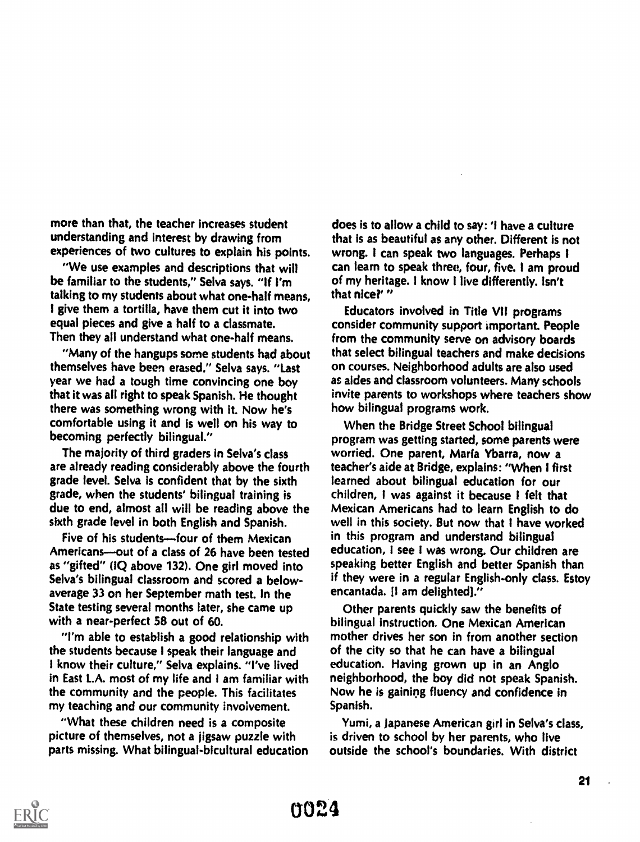more than that, the teacher increases student understanding and interest by drawing from experiences of two cultures to explain his points.

"We use examples and descriptions that will be familiar to the students," Selva says. "If I'm talking to my students about what one-half means, I give them a tortilla, have them cut it into two equal pieces and give a half to a classmate. Then they all understand what one-half means.

"Many of the hangups some students had about themselves have been erased." Selva says. "Last year we had a tough time convincing one boy that it was all right to speak Spanish. He thought there was something wrong with it. Now he's comfortable using it and is well on his way to becoming perfectly bilingual."

The majority of third graders in Selva's class are already reading considerably above the fourth grade level. Selva is confident that by the sixth grade, when the students' bilingual training is due to end, almost all will be reading above the sixth grade level in both English and Spanish.

Five of his students-four of them Mexican Americans-out of a class of 26 have been tested as "gifted" (IQ above 132). One girl moved into Selva's bilingual classroom and scored a belowaverage 33 on her September math test. In the State testing several months later, she came up with a near-perfect 58 out of 60.

"I'm able to establish a good relationship with the students because I speak their language and I know their culture," Selva explains. "I've lived in East L.A. most of my life and I am familiar with the community and the people. This facilitates my teaching and our community involvement.

"What these children need is a composite picture of themselves, not a jigsaw puzzle with parts missing. What bilingual-bicultural education

does is to allow a child to say: 'I have a culture that is as beautiful as any other. Different is not wrong. I can speak two languages. Perhaps I can learn to speak three, four, five. I am proud of my heritage. I know I live differently. Isn't that nice?' "

Educators involved in Title VII programs consider community support important. People from the community serve on advisory boards that select bilingual teachers and make decisions on courses. Neighborhood adults are also used as aides and classroom volunteers. Many schools invite parents to workshops where teachers show how bilingual programs work.

When the Bridge Street School bilingual program was getting started, some parents were worried. One parent, Maria Ybarra, now a teacher's aide at Bridge, explains: "When I first learned about bilingual education for our children, I was against it because I felt that Mexican Americans had to learn English to do well in this society. But now that I have worked in this program and understand bilingual education, I see I was wrong. Our children are speaking better English and better Spanish than if they were in a regular English-only class. Estoy encantada. [I am delighted]."

Other parents quickly saw the benefits of bilingual instruction. One Mexican American mother drives her son in from another section of the city so that he can have a bilingual education. Having grown up in an Anglo neighborhood, the boy did not speak Spanish. Now he is gaining fluency and confidence in Spanish.

Yumi, a Japanese American girl in Selva's class, is driven to school by her parents, who live outside the school's boundaries. With district

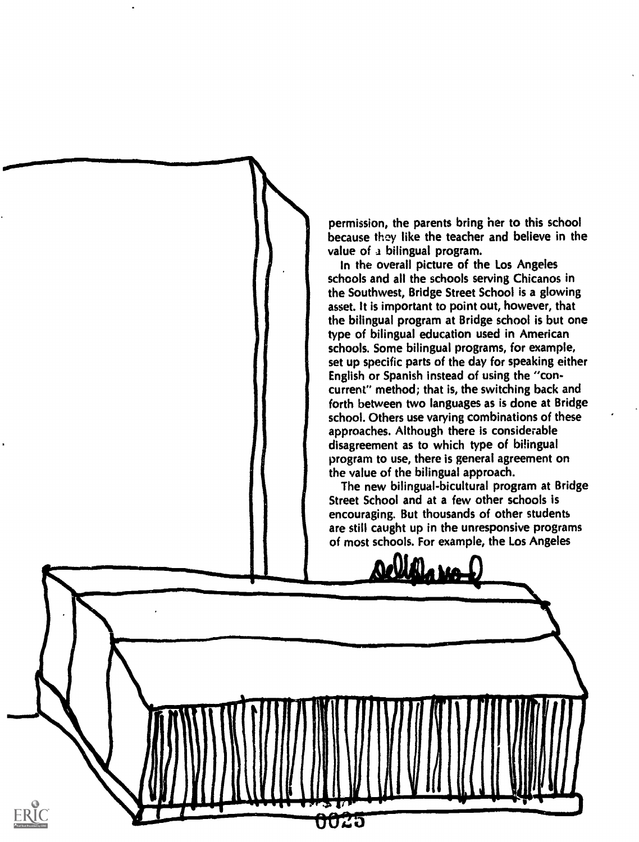permission, the parents bring her to this school because they like the teacher and believe in the value of a bilingual program.

In the overall picture of the Los Angeles schools and all the schools serving Chicanos in the Southwest, Bridge Street School is a glowing asset. It is important to point out, however, that the bilingual program at Bridge school is but one type of bilingual education used in American schools. Some bilingual programs, for example, set up specific parts of the day for speaking either English or Spanish instead of using the "concurrent" method; that is, the switching back and forth between two languages as is done at Bridge school. Others use varying combinations of these approaches. Although there is considerable disagreement as to which type of bilingual program to use, there is general agreement on the value of the bilingual approach.

The new bilingual-bicultural program at Bridge Street School and at a few other schools is encouraging. But thousands of other students are still caught up in the unresponsive programs of most schools. For example, the Los Angeles

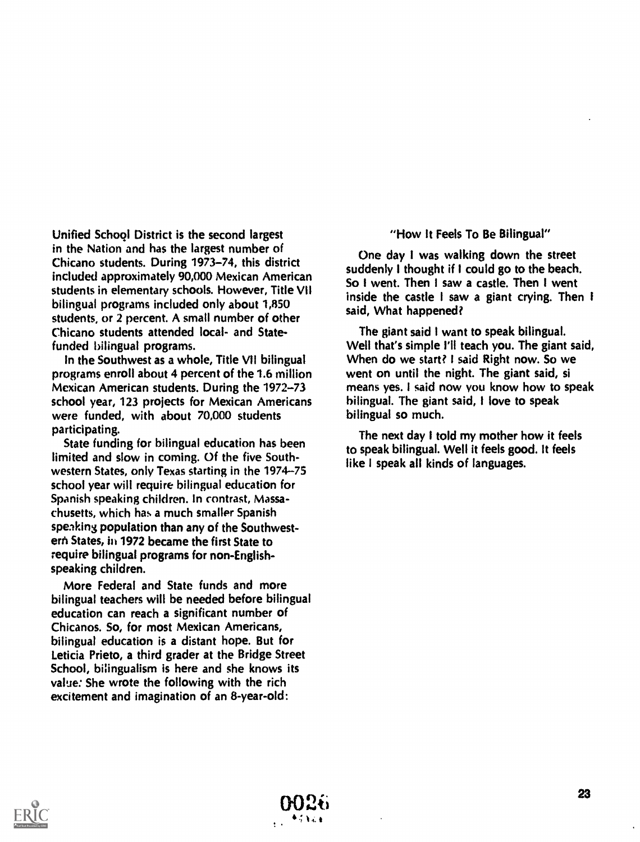Unified School District is the second largest in the Nation and has the largest number of Chicano students. During 1973-74, this district included approximately 90,000 Mexican American students in elementary schools. However, Title VII bilingual programs included only about 1,850 students, or 2 percent. A small number of other Chicano students attended local- and Statefunded bilingual programs.

In the Southwest as a whole, Title VII bilingual programs enroll about 4 percent of the 1.6 million Mexican American students. During the 1972-73 school year, 123 projects for Mexican Americans were funded, with about 70,000 students participating.

State funding for bilingual education has been limited and slow in coming. Of the five Southwestern States, only Texas starting in the 1974-75 school year will require bilingual education for Spanish speaking children. In contrast, Massachusetts, which has a much smaller Spanish speaking population than any of the Southwestern States, in 1972 became the first State to require bilingual programs for non-Englishspeaking children.

More Federal and State funds and more bilingual teachers will be needed before bilingual education can reach a significant number of Chicanos. So, for most Mexican Americans, bilingual education is a distant hope. But for Leticia Prieto, a third grader at the Bridge Street School, bilingualism is here and she knows its value: She wrote the following with the rich excitement and imagination of an 8-year-old:

#### "How It Feels To Be Bilingual"

One day I was walking down the street suddenly I thought if I could go to the beach. So I went. Then I saw a castle. Then I went inside the castle I saw a giant crying. Then I said, What happened?

The giant said I want to speak bilingual. Well that's simple I'll teach you. The giant said, When do we start? I said Right now. So we went on until the night. The giant said, si means yes. I said now you know how to speak bilingual. The giant said, I love to speak bilingual so much.

The next day I told my mother how it feels to speak bilingual. Well it feels good. It feels like I speak all kinds of languages.

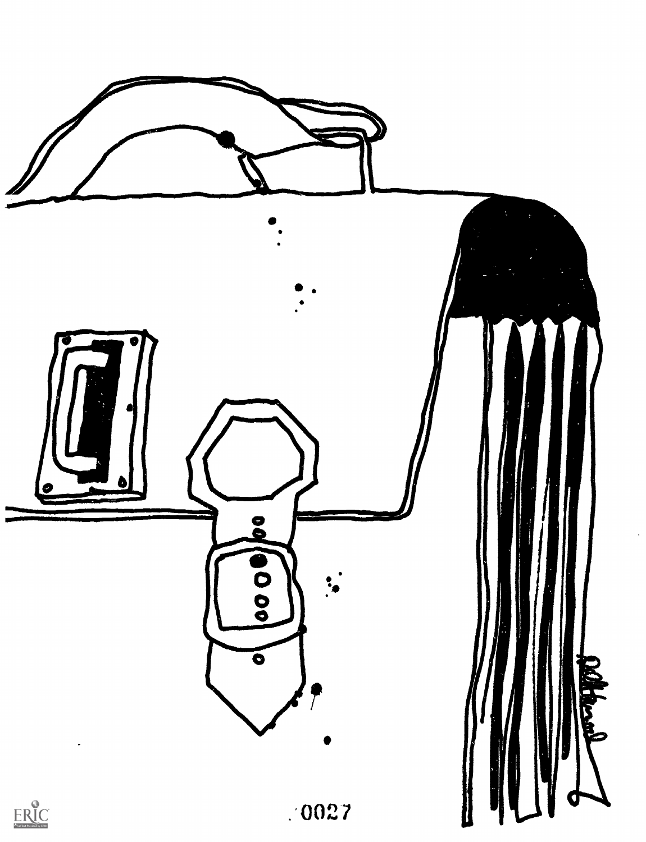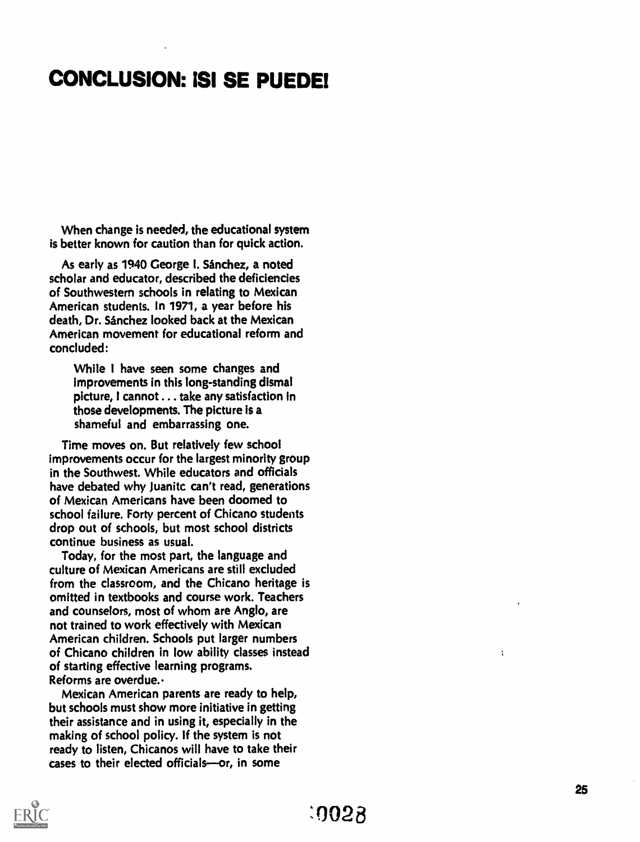# CONCLUSION: ISI SE PUEDE!

When change is needed, the educational system is better known for caution than for quick action.

As early as 1940 George I. Sanchez, a noted scholar and educator, described the deficiencies of Southwestern schools in relating to Mexican American students. In 1971, a year before his death, Dr. Sanchez looked back at the Mexican American movement for educational reform and concluded:

While I have seen some changes and improvements in this long-standing dismal picture, I cannot ... take any satisfaction in those developments. The picture is a shameful and embarrassing one.

Time moves on. But relatively few school improvements occur for the largest minority group in the Southwest. While educators and officials have debated why Juanitc can't read, generations of Mexican Americans have been doomed to school failure. Forty percent of Chicano students drop out of schools, but most school districts continue business as usual.

Today, for the most part, the language and culture of Mexican Americans are still excluded from the classroom, and the Chicano heritage is omitted in textbooks and course work. Teachers and counselors, most of whom are Anglo, are not trained to work effectively with Mexican American children. Schools put larger numbers of Chicano children in low ability classes instead of starting effective learning programs. Reforms are overdue..

Mexican American parents are ready to help, but schools must show more initiative in getting their assistance and in using it, especially in the making of school policy. If the system is not ready to listen, Chicanos will have to take their cases to their elected officials-or, in some



÷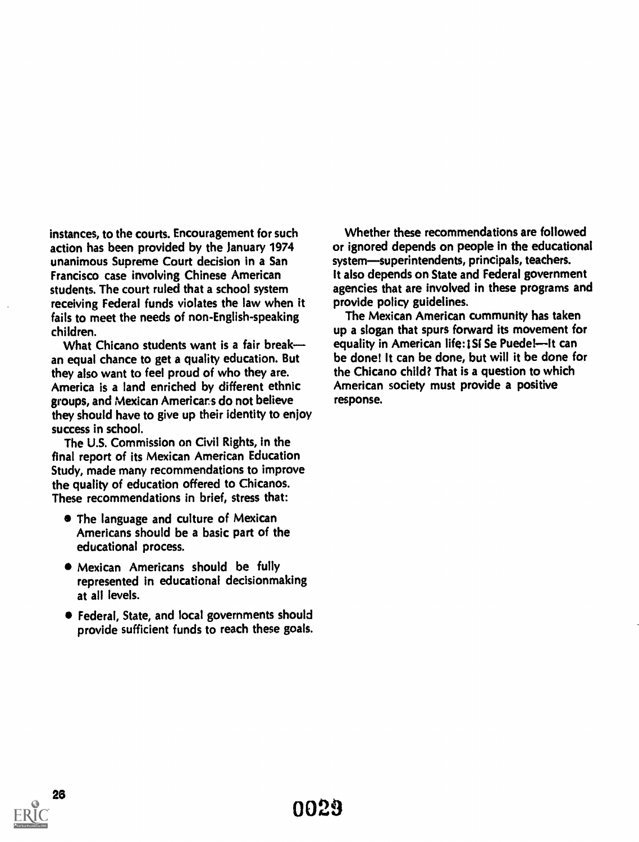instances, to the courts. Encouragement for such action has been provided by the January 1974 unanimous Supreme Court decision in a San Francisco case involving Chinese American students. The court ruled that a school system receiving Federal funds violates the law when it fails to meet the needs of non-English-speaking children.

What Chicano students want is a fair break an equal chance to get a quality education. But they also want to feel proud of who they are. America is a land enriched by different ethnic groups, and Mexican Americar s do not believe they should have to give up their identity to enjoy success in school.

The U.S. Commission on Civil Rights, in the final report of its Mexican American Education Study, made many recommendations to improve the quality of education offered to Chicanos. These recommendations in brief, stress that:

- **The language and culture of Mexican** Americans should be a basic part of the educational process.
- Mexican Americans should be fully represented in educational decisionmaking at all levels.
- Federal, State, and local governments should provide sufficient funds to reach these goals.

Whether these recommendations are followed or ignored depends on people in the educational system-superintendents, principals, teachers. It also depends on State and Federal government agencies that are involved in these programs and provide policy guidelines.

The Mexican American community has taken up a slogan that spurs forward its movement for equality in American life: i Si Se Puedel--- It can be done! It can be done, but will it be done for the Chicano child? That is a question to which American society must provide a positive response.